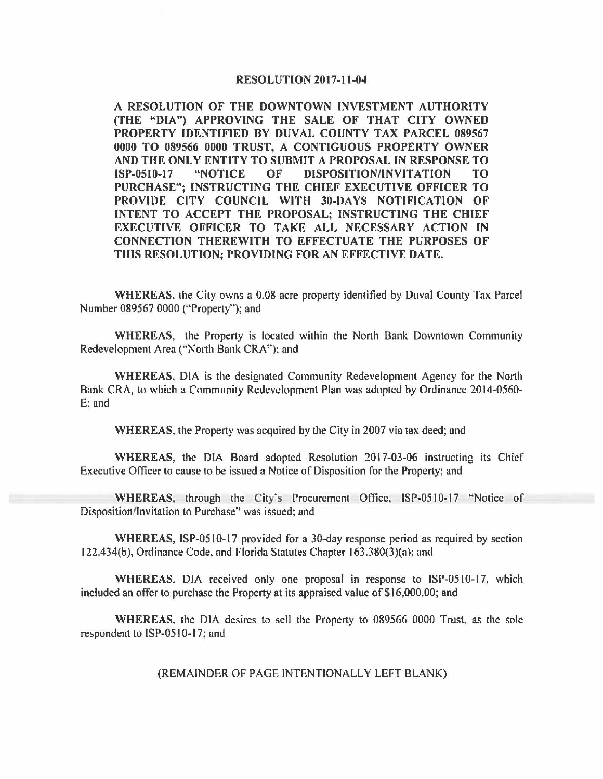## **RESOLUTION 2017-11-04**

**A RESOLUTION OF THE DOWNTOWN INVESTMENT AUTHORJTY (THE "DIA") APPROVING THE SALE OF THAT CITY OWNED PROPERTY IDENTIFIED BY DUVAL COUNTY TAX PARCEL 089567**  0000 **TO 089566 0000 TRUST, A CONTIGUOUS PROPERTY OWNER AND THE ONLY ENTITY TO SUBMIT A PROPOSAL IN RESPONSE TO ISP-0510-17 "NOTICE OF DISPOSITION/INVITATION TO PURCHASE"; INSTRUCTING THE CHIEF EXECUTIVE OFFICER TO PROVIDE CITY COUNCIL WITH 30-DAYS NOTIFICATION OF INTENT TO ACCEPT THE PROPOSAL; INSTRUCTING THE CHIEF EXECUTIVE OFFICER TO TAKE ALL NECESSARY ACTION IN CONNECTION THEREWITH TO EFFECTUATE THE PURPOSES OF THIS RESOLUTION; PROVIDING FOR AN EFFECTIVE DATE.** 

**WHEREAS,** the City owns a 0.08 acre property identified by Duval County Tax Parcel Number 089567 0000 ("Property"); and

**WHEREAS,** the Property is located within the North Bank Downtown Community Redevelopment Area ("North Bank CRA"); and

**WHEREAS,** DIA is the designated Community Redevelopment Agency for the North Bank CRA, to which a Community Redevelopment Plan was adopted by Ordinance 2014-0560- E; and

**WHEREAS,** the Property was acquired by the City in 2007 via tax deed; and

**WHEREAS,** the DIA Board adopted Resolution 2017-03-06 instructing its Chief Executive Officer to cause to be issued a Notice of Disposition for the Property; and

**WHEREAS;** through the City"s Procurement Office, ISP-0510-17 "Notice of Disposition/Invitation to Purchase" was issued; and

**WHEREAS,** ISP-0510-17 provided for a 30-day response period as required by section 122.434(b), Ordinance Code. and Florida Statutes Chapter 163.380(3)(a): and

**WHEREAS.** DIA received only one proposal in response to ISP-0510-17. which included an offer to purchase the Property at its appraised value of \$16,000.00; and

**WHEREAS.** the DIA desires to sell the Property to 089566 0000 Trust, as the sole respondent to ISP-0510-17; and

(REMAINDER OF PAGE INTENTIONALLY LEFT BLANK)